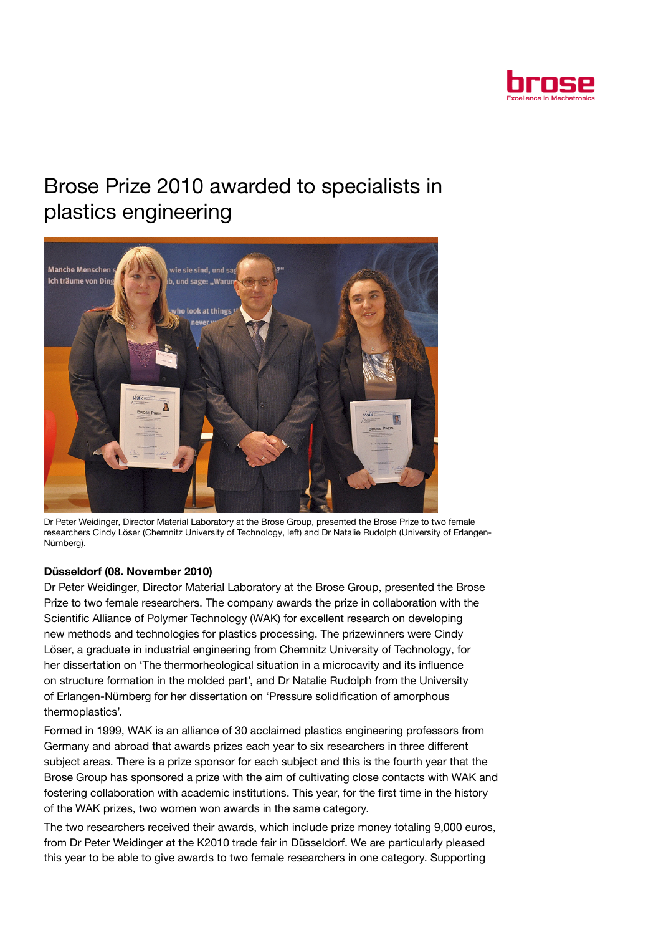

## Brose Prize 2010 awarded to specialists in plastics engineering



Dr Peter Weidinger, Director Material Laboratory at the Brose Group, presented the Brose Prize to two female researchers Cindy Löser (Chemnitz University of Technology, left) and Dr Natalie Rudolph (University of Erlangen-Nürnberg).

## Düsseldorf (08. November 2010)

Dr Peter Weidinger, Director Material Laboratory at the Brose Group, presented the Brose Prize to two female researchers. The company awards the prize in collaboration with the Scientific Alliance of Polymer Technology (WAK) for excellent research on developing new methods and technologies for plastics processing. The prizewinners were Cindy Löser, a graduate in industrial engineering from Chemnitz University of Technology, for her dissertation on 'The thermorheological situation in a microcavity and its influence on structure formation in the molded part', and Dr Natalie Rudolph from the University of Erlangen-Nürnberg for her dissertation on 'Pressure solidification of amorphous thermoplastics'.

Formed in 1999, WAK is an alliance of 30 acclaimed plastics engineering professors from Germany and abroad that awards prizes each year to six researchers in three different subject areas. There is a prize sponsor for each subject and this is the fourth year that the Brose Group has sponsored a prize with the aim of cultivating close contacts with WAK and fostering collaboration with academic institutions. This year, for the first time in the history of the WAK prizes, two women won awards in the same category.

The two researchers received their awards, which include prize money totaling 9,000 euros, from Dr Peter Weidinger at the K2010 trade fair in Düsseldorf. We are particularly pleased this year to be able to give awards to two female researchers in one category. Supporting